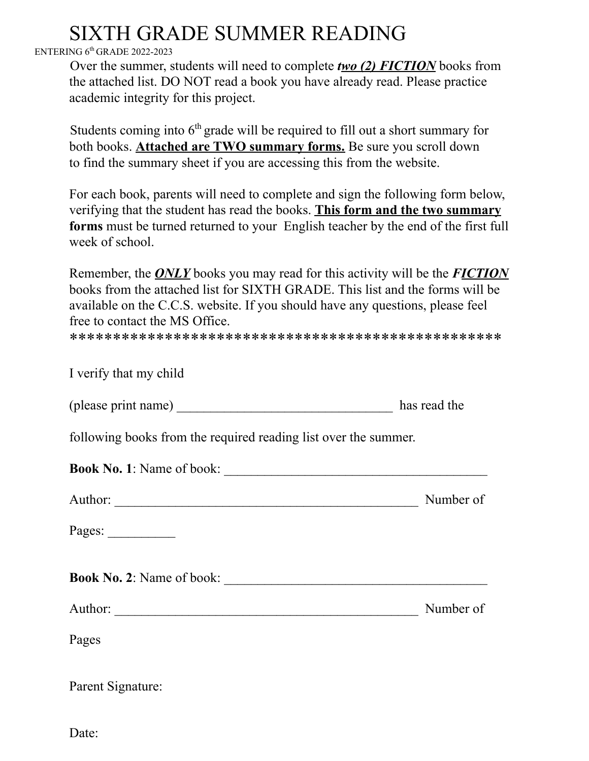## SIXTH GRADE SUMMER READING

## ENTERING 6<sup>th</sup> GRADE 2022-2023

Over the summer, students will need to complete *two (2) FICTION* books from the attached list. DO NOT read a book you have already read. Please practice academic integrity for this project.

Students coming into  $6<sup>th</sup>$  grade will be required to fill out a short summary for both books. **Attached are TWO summary forms.** Be sure you scroll down to find the summary sheet if you are accessing this from the website.

For each book, parents will need to complete and sign the following form below, verifying that the student has read the books. **This form and the two summary forms** must be turned returned to your English teacher by the end of the first full week of school.

Remember, the *ONLY* books you may read for this activity will be the *FICTION* books from the attached list for SIXTH GRADE. This list and the forms will be available on the C.C.S. website. If you should have any questions, please feel free to contact the MS Office.

\*\*\*\*\*\*\*\*\*\*\*\*\*\*\*\*\*\*\*\*\*\*\*\*\*\*\*\*\*\*\*\*\*\*\*\*\*\*\*\*\*\*\*\*\*\*\*\*\*\*

| I verify that my child                                          |              |
|-----------------------------------------------------------------|--------------|
|                                                                 | has read the |
| following books from the required reading list over the summer. |              |
|                                                                 |              |
|                                                                 | Number of    |
| Pages: $\frac{2}{\sqrt{2}}$                                     |              |
|                                                                 |              |
|                                                                 | Number of    |
| Pages                                                           |              |
| Parent Signature:                                               |              |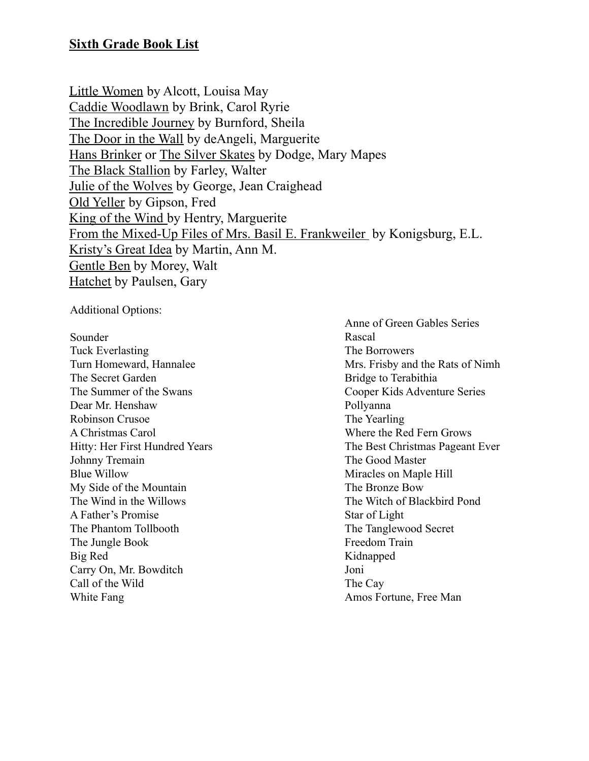Little Women by Alcott, Louisa May Caddie Woodlawn by Brink, Carol Ryrie The Incredible Journey by Burnford, Sheila The Door in the Wall by deAngeli, Marguerite Hans Brinker or The Silver Skates by Dodge, Mary Mapes The Black Stallion by Farley, Walter Julie of the Wolves by George, Jean Craighead Old Yeller by Gipson, Fred King of the Wind by Hentry, Marguerite From the Mixed-Up Files of Mrs. Basil E. Frankweiler by Konigsburg, E.L. Kristy's Great Idea by Martin, Ann M. Gentle Ben by Morey, Walt Hatchet by Paulsen, Gary

Additional Options:

Sounder Tuck Everlasting Turn Homeward, Hannalee The Secret Garden The Summer of the Swans Dear Mr. Henshaw Robinson Crusoe A Christmas Carol Hitty: Her First Hundred Years Johnny Tremain Blue Willow My Side of the Mountain The Wind in the Willows A Father's Promise The Phantom Tollbooth The Jungle Book Big Red Carry On, Mr. Bowditch Call of the Wild White Fang

Anne of Green Gables Series Rascal The Borrowers Mrs. Frisby and the Rats of Nimh Bridge to Terabithia Cooper Kids Adventure Series Pollyanna The Yearling Where the Red Fern Grows The Best Christmas Pageant Ever The Good Master Miracles on Maple Hill The Bronze Bow The Witch of Blackbird Pond Star of Light The Tanglewood Secret Freedom Train Kidnapped Joni The Cay Amos Fortune, Free Man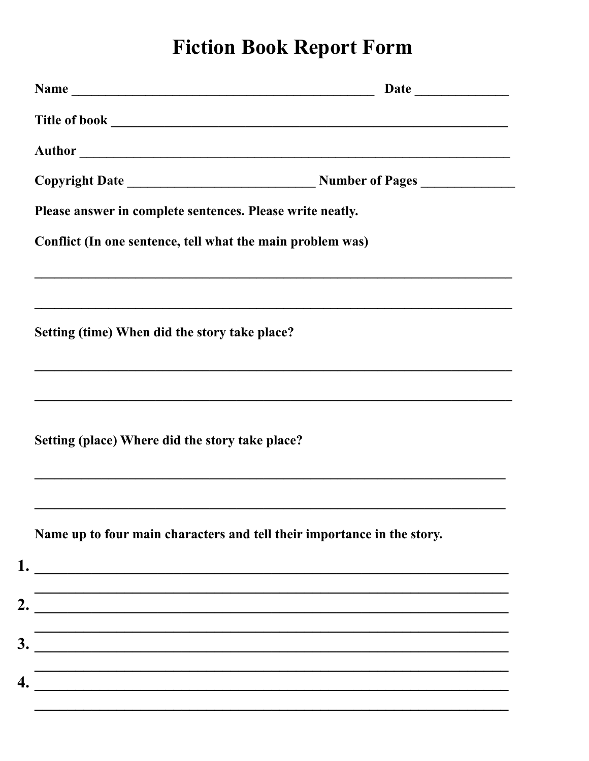## **Fiction Book Report Form**

| Name                                                                                                         |                                                                         |
|--------------------------------------------------------------------------------------------------------------|-------------------------------------------------------------------------|
|                                                                                                              |                                                                         |
|                                                                                                              |                                                                         |
|                                                                                                              |                                                                         |
| Please answer in complete sentences. Please write neatly.                                                    |                                                                         |
| Conflict (In one sentence, tell what the main problem was)                                                   |                                                                         |
|                                                                                                              |                                                                         |
| <u> 1989 - Johann Stoff, amerikansk politiker (d. 1989)</u><br>Setting (time) When did the story take place? |                                                                         |
|                                                                                                              |                                                                         |
| Setting (place) Where did the story take place?                                                              |                                                                         |
|                                                                                                              | Name up to four main characters and tell their importance in the story. |
|                                                                                                              |                                                                         |
| 2.                                                                                                           |                                                                         |
| 3.                                                                                                           |                                                                         |
|                                                                                                              |                                                                         |
| <u> 2002 - Jan James James Barnett, fizik eta idazleari (h. 1878).</u>                                       |                                                                         |